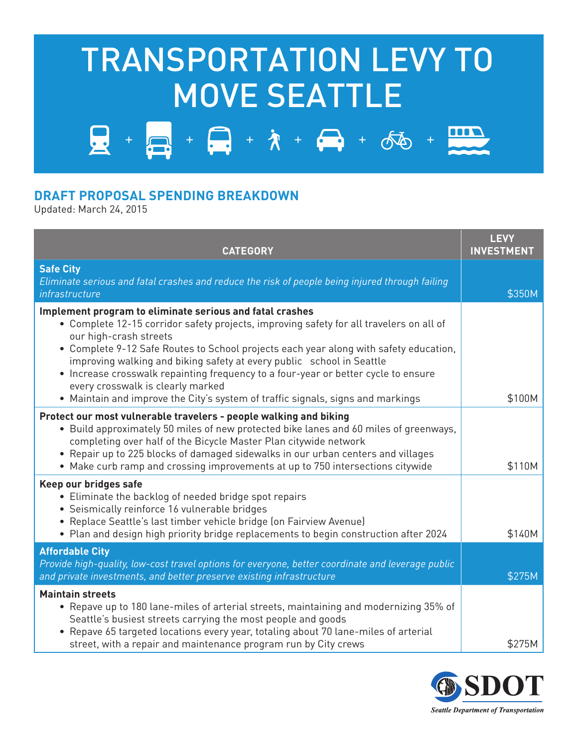## TRANSPORTATION LEVY TO MOVE SEATTLE

 $+$   $\sqrt{2}$  +  $\sqrt[4]{}$  +  $\sqrt[4]{}$  +  $\sqrt[4]{}$  +

## **DRAFT PROPOSAL SPENDING BREAKDOWN**

Updated: March 24, 2015

曼

| <b>CATEGORY</b>                                                                                                                                                                                                                                                                                                                                                                                                                                                                                                                                               | <b>LEVY</b><br><b>INVESTMENT</b> |
|---------------------------------------------------------------------------------------------------------------------------------------------------------------------------------------------------------------------------------------------------------------------------------------------------------------------------------------------------------------------------------------------------------------------------------------------------------------------------------------------------------------------------------------------------------------|----------------------------------|
| <b>Safe City</b><br>Eliminate serious and fatal crashes and reduce the risk of people being injured through failing<br>infrastructure                                                                                                                                                                                                                                                                                                                                                                                                                         | \$350M                           |
| Implement program to eliminate serious and fatal crashes<br>• Complete 12-15 corridor safety projects, improving safety for all travelers on all of<br>our high-crash streets<br>• Complete 9-12 Safe Routes to School projects each year along with safety education,<br>improving walking and biking safety at every public school in Seattle<br>• Increase crosswalk repainting frequency to a four-year or better cycle to ensure<br>every crosswalk is clearly marked<br>• Maintain and improve the City's system of traffic signals, signs and markings | \$100M                           |
| Protect our most vulnerable travelers - people walking and biking<br>• Build approximately 50 miles of new protected bike lanes and 60 miles of greenways,<br>completing over half of the Bicycle Master Plan citywide network<br>• Repair up to 225 blocks of damaged sidewalks in our urban centers and villages<br>• Make curb ramp and crossing improvements at up to 750 intersections citywide                                                                                                                                                          | \$110M                           |
| Keep our bridges safe<br>• Eliminate the backlog of needed bridge spot repairs<br>• Seismically reinforce 16 vulnerable bridges<br>· Replace Seattle's last timber vehicle bridge (on Fairview Avenue)<br>• Plan and design high priority bridge replacements to begin construction after 2024                                                                                                                                                                                                                                                                | \$140M                           |
| <b>Affordable City</b><br>Provide high-quality, low-cost travel options for everyone, better coordinate and leverage public<br>and private investments, and better preserve existing infrastructure                                                                                                                                                                                                                                                                                                                                                           | \$275M                           |
| <b>Maintain streets</b><br>• Repave up to 180 lane-miles of arterial streets, maintaining and modernizing 35% of<br>Seattle's busiest streets carrying the most people and goods<br>• Repave 65 targeted locations every year, totaling about 70 lane-miles of arterial<br>street, with a repair and maintenance program run by City crews                                                                                                                                                                                                                    | \$275M                           |



m